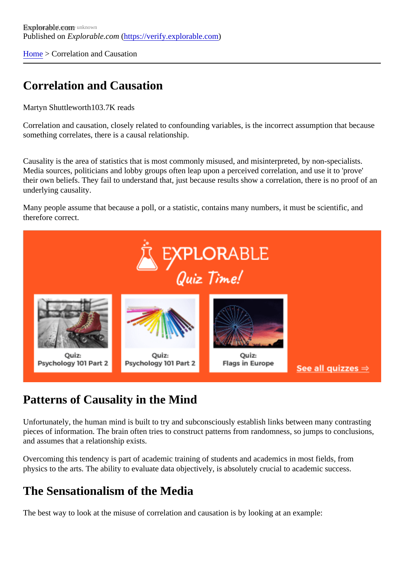[Home](https://verify.explorable.com/)> Correlation and Causation

### Correlation and Causation

Martyn Shuttleworth03.7K reads

Correlation and causation, closely related to confounding variables, is the incorrect assumption that because something correlates, there is a causal relationship.

Causality is the area of statistics that is most commonly misused, and misinterpreted, by non-specialists. Media sources, politicians and lobby groups often leap upon a perceived correlation, and use it to 'prove' their own beliefs. They fail to understand that, just because results show a correlation, there is no proof of underlying causality.

Many people assume that because a poll, or a statistic, contains many numbers, it must be scientific, and therefore correct.

### Patterns of Causality in the Mind

Unfortunately, the human mind is built to try and subconsciously establish links between many contrasting pieces of information. The brain often tries to construct patterns from randomness, so jumps to conclusion and assumes that a relationship exists.

Overcoming this tendency is part of academic training of students and academics in most fields, from physics to the arts. The ability to evaluate data objectively, is absolutely crucial to academic success.

#### The Sensationalism of the Media

The best way to look at the misuse of correlation and causation is by looking at an example: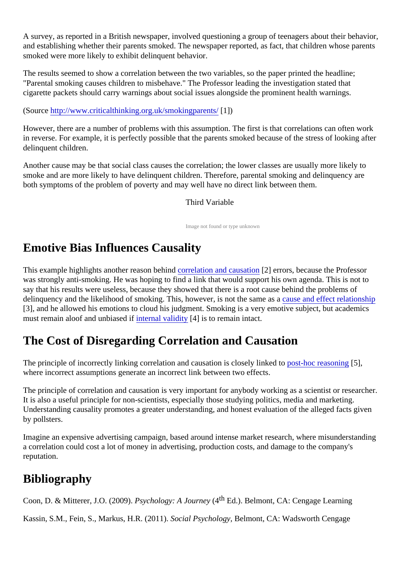A survey, as reported in a British newspaper, involved questioning a group of teenagers about their behavior, and establishing whether their parents smoked. The newspaper reported, as fact, that children whose parents smoked were more likely to exhibit delinquent behavior.

The results seemed to show a correlation between the two variables, so the paper printed the headline; "Parental smoking causes children to misbehave." The Professor leading the investigation stated that cigarette packets should carry warnings about social issues alongside the prominent health warnings.

(Sourcehttp://www.criticalthinking.org.uk/smokingparents/)

However, there are a number of problems with this assumption. The first is that correlations can often wor in reverse. For example, it is perfectly possible that the parents smoked because of the stress of looking a delinquent children.

Another cause may be that social class causes the correlation; the lower classes are usually more likely to smoke and are more likely to have delinquent children. Therefore, parental smoking and delinquency are both symptoms of the problem of poverty and may well have no direct link between them.

#### Third Variable

Image not found or type unknown

# Emotive Bias Influences Causality

This example highlights another reason behtind delation and causation errors, because the Professor was strongly anti-smoking. He was hoping to find a link that would support his own agenda. This is not to say that his results were useless, because they showed that there is a root cause behind the problems of delinquency and the likelihood of smoking. This, however, is not the same as a and effect relationship [3], and he allowed his emotions to cloud his judgment. Smoking is a very emotive subject, but academics must remain aloof and unbiased if  $t$ rian validity[4] is to remain intact.

# The Cost of Disregarding Correlation and Causation

The principle of incorrectly linking correlation and causation is closely linked stohoc reasoning], where incorrect assumptions generate an incorrect link between two effects.

The principle of correlation and causation is very important for anybody working as a scientist or researcher. It is also a useful principle for non-scientists, especially those studying politics, media and marketing. Understanding causality promotes a greater understanding, and honest evaluation of the alleged facts given by pollsters.

Imagine an expensive advertising campaign, based around intense market research, where misunderstan a correlation could cost a lot of money in advertising, production costs, and damage to the company's reputation.

# **Bibliography**

Coon, D. & Mitterer, J.O. (2009).Psychology: A Journe (4<sup>th</sup> Ed.). Belmont, CA: Cengage Learning

Kassin, S.M., Fein, S., Markus, H.R. (2019). Acial PsychologyBelmont, CA: Wadsworth Cengage